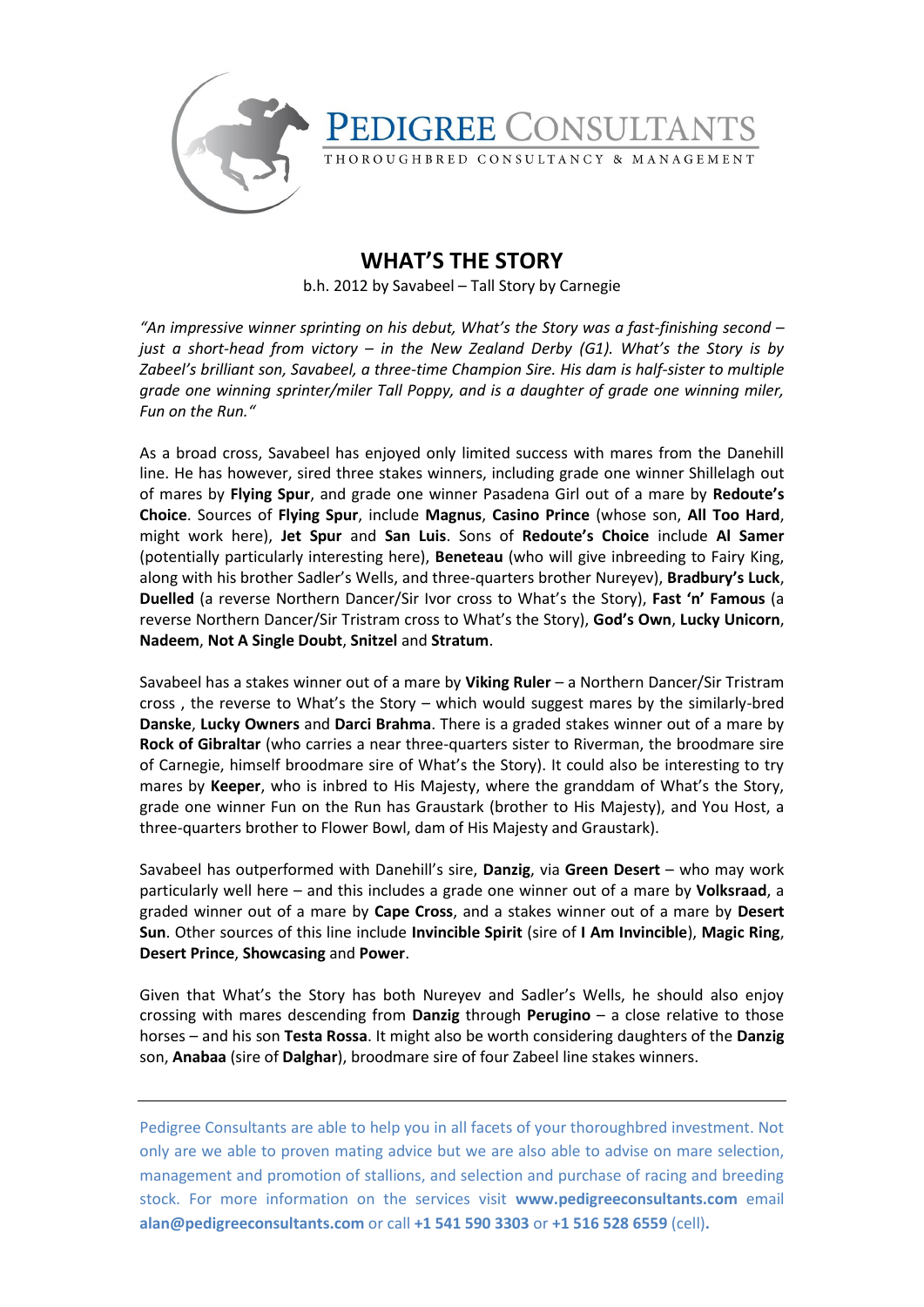

## **WHAT'S THE STORY**

b.h. 2012 by Savabeel – Tall Story by Carnegie

*"An impressive winner sprinting on his debut, What's the Story was a fast-finishing second – just a short-head from victory – in the New Zealand Derby (G1). What's the Story is by Zabeel's brilliant son, Savabeel, a three-time Champion Sire. His dam is half-sister to multiple grade one winning sprinter/miler Tall Poppy, and is a daughter of grade one winning miler, Fun on the Run."*

As a broad cross, Savabeel has enjoyed only limited success with mares from the Danehill line. He has however, sired three stakes winners, including grade one winner Shillelagh out of mares by **Flying Spur**, and grade one winner Pasadena Girl out of a mare by **Redoute's Choice**. Sources of **Flying Spur**, include **Magnus**, **Casino Prince** (whose son, **All Too Hard**, might work here), **Jet Spur** and **San Luis**. Sons of **Redoute's Choice** include **Al Samer** (potentially particularly interesting here), **Beneteau** (who will give inbreeding to Fairy King, along with his brother Sadler's Wells, and three-quarters brother Nureyev), **Bradbury's Luck**, **Duelled** (a reverse Northern Dancer/Sir Ivor cross to What's the Story), **Fast 'n' Famous** (a reverse Northern Dancer/Sir Tristram cross to What's the Story), **God's Own**, **Lucky Unicorn**, **Nadeem**, **Not A Single Doubt**, **Snitzel** and **Stratum**.

Savabeel has a stakes winner out of a mare by **Viking Ruler** – a Northern Dancer/Sir Tristram cross , the reverse to What's the Story – which would suggest mares by the similarly-bred **Danske**, **Lucky Owners** and **Darci Brahma**. There is a graded stakes winner out of a mare by **Rock of Gibraltar** (who carries a near three-quarters sister to Riverman, the broodmare sire of Carnegie, himself broodmare sire of What's the Story). It could also be interesting to try mares by **Keeper**, who is inbred to His Majesty, where the granddam of What's the Story, grade one winner Fun on the Run has Graustark (brother to His Majesty), and You Host, a three-quarters brother to Flower Bowl, dam of His Majesty and Graustark).

Savabeel has outperformed with Danehill's sire, **Danzig**, via **Green Desert** – who may work particularly well here – and this includes a grade one winner out of a mare by **Volksraad**, a graded winner out of a mare by **Cape Cross**, and a stakes winner out of a mare by **Desert Sun**. Other sources of this line include **Invincible Spirit** (sire of **I Am Invincible**), **Magic Ring**, **Desert Prince**, **Showcasing** and **Power**.

Given that What's the Story has both Nureyev and Sadler's Wells, he should also enjoy crossing with mares descending from **Danzig** through **Perugino** – a close relative to those horses – and his son **Testa Rossa**. It might also be worth considering daughters of the **Danzig**  son, **Anabaa** (sire of **Dalghar**), broodmare sire of four Zabeel line stakes winners.

Pedigree Consultants are able to help you in all facets of your thoroughbred investment. Not only are we able to proven mating advice but we are also able to advise on mare selection, management and promotion of stallions, and selection and purchase of racing and breeding stock. For more information on the services visit **www.pedigreeconsultants.com** email **alan@pedigreeconsultants.com** or call **+1 541 590 3303** or **+1 516 528 6559** (cell)**.**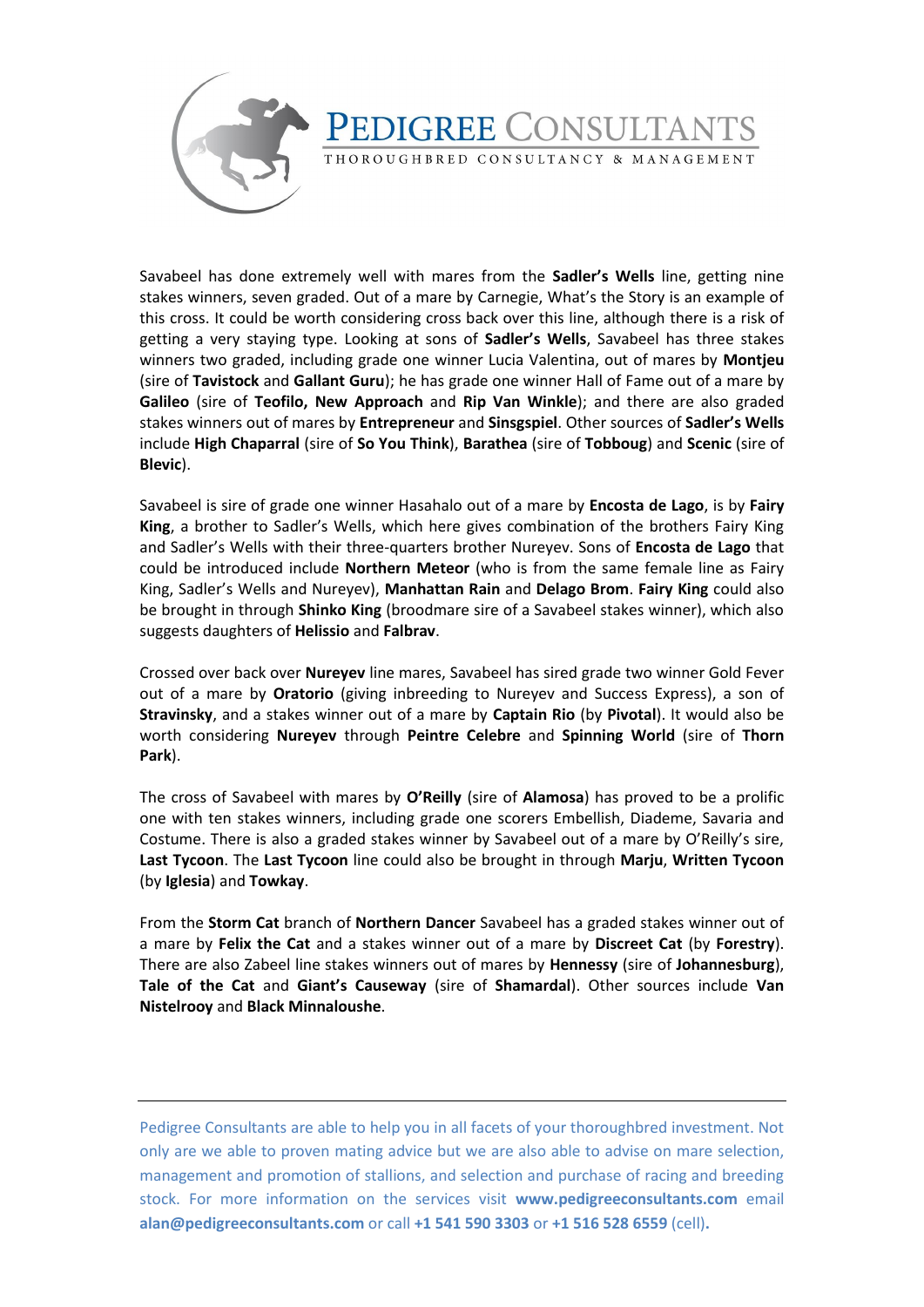

Savabeel has done extremely well with mares from the **Sadler's Wells** line, getting nine stakes winners, seven graded. Out of a mare by Carnegie, What's the Story is an example of this cross. It could be worth considering cross back over this line, although there is a risk of getting a very staying type. Looking at sons of **Sadler's Wells**, Savabeel has three stakes winners two graded, including grade one winner Lucia Valentina, out of mares by **Montjeu** (sire of **Tavistock** and **Gallant Guru**); he has grade one winner Hall of Fame out of a mare by **Galileo** (sire of **Teofilo, New Approach** and **Rip Van Winkle**); and there are also graded stakes winners out of mares by **Entrepreneur** and **Sinsgspiel**. Other sources of **Sadler's Wells** include **High Chaparral** (sire of **So You Think**), **Barathea** (sire of **Tobboug**) and **Scenic** (sire of **Blevic**).

Savabeel is sire of grade one winner Hasahalo out of a mare by **Encosta de Lago**, is by **Fairy King**, a brother to Sadler's Wells, which here gives combination of the brothers Fairy King and Sadler's Wells with their three-quarters brother Nureyev. Sons of **Encosta de Lago** that could be introduced include **Northern Meteor** (who is from the same female line as Fairy King, Sadler's Wells and Nureyev), **Manhattan Rain** and **Delago Brom**. **Fairy King** could also be brought in through **Shinko King** (broodmare sire of a Savabeel stakes winner), which also suggests daughters of **Helissio** and **Falbrav**.

Crossed over back over **Nureyev** line mares, Savabeel has sired grade two winner Gold Fever out of a mare by **Oratorio** (giving inbreeding to Nureyev and Success Express), a son of **Stravinsky**, and a stakes winner out of a mare by **Captain Rio** (by **Pivotal**). It would also be worth considering **Nureyev** through **Peintre Celebre** and **Spinning World** (sire of **Thorn Park**).

The cross of Savabeel with mares by **O'Reilly** (sire of **Alamosa**) has proved to be a prolific one with ten stakes winners, including grade one scorers Embellish, Diademe, Savaria and Costume. There is also a graded stakes winner by Savabeel out of a mare by O'Reilly's sire, **Last Tycoon**. The **Last Tycoon** line could also be brought in through **Marju**, **Written Tycoon** (by **Iglesia**) and **Towkay**.

From the **Storm Cat** branch of **Northern Dancer** Savabeel has a graded stakes winner out of a mare by **Felix the Cat** and a stakes winner out of a mare by **Discreet Cat** (by **Forestry**). There are also Zabeel line stakes winners out of mares by **Hennessy** (sire of **Johannesburg**), **Tale of the Cat** and **Giant's Causeway** (sire of **Shamardal**). Other sources include **Van Nistelrooy** and **Black Minnaloushe**.

Pedigree Consultants are able to help you in all facets of your thoroughbred investment. Not only are we able to proven mating advice but we are also able to advise on mare selection, management and promotion of stallions, and selection and purchase of racing and breeding stock. For more information on the services visit **www.pedigreeconsultants.com** email **alan@pedigreeconsultants.com** or call **+1 541 590 3303** or **+1 516 528 6559** (cell)**.**